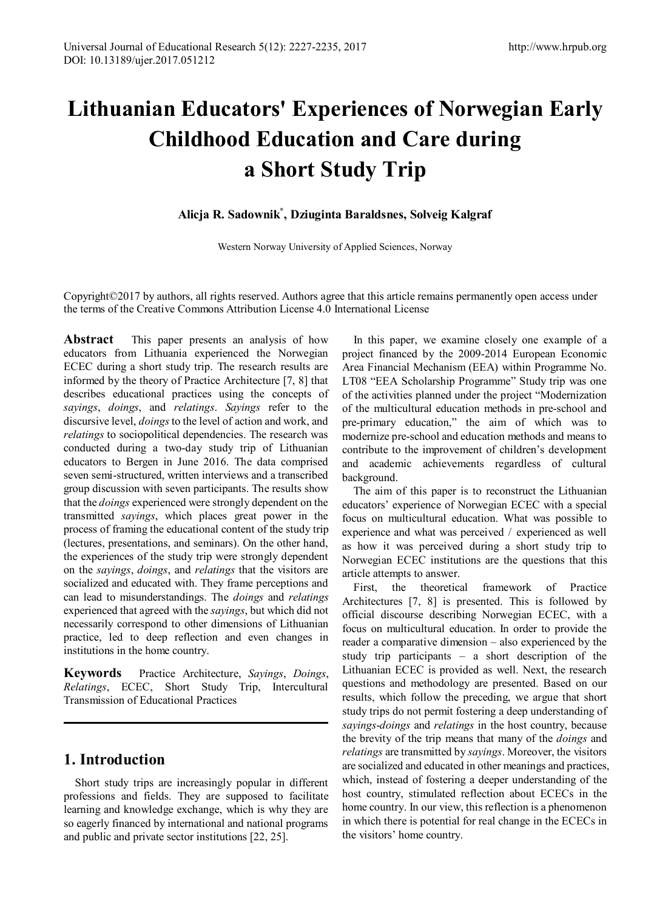# **Lithuanian Educators' Experiences of Norwegian Early Childhood Education and Care during a Short Study Trip**

#### **Alicja R. Sadownik\* , Dziuginta Baraldsnes, Solveig Kalgraf**

Western Norway University of Applied Sciences, Norway

Copyright©2017 by authors, all rights reserved. Authors agree that this article remains permanently open access under the terms of the Creative Commons Attribution License 4.0 International License

**Abstract** This paper presents an analysis of how educators from Lithuania experienced the Norwegian ECEC during a short study trip. The research results are informed by the theory of Practice Architecture [7, 8] that describes educational practices using the concepts of *sayings*, *doings*, and *relatings*. *Sayings* refer to the discursive level, *doings*to the level of action and work, and *relatings* to sociopolitical dependencies. The research was conducted during a two-day study trip of Lithuanian educators to Bergen in June 2016. The data comprised seven semi-structured, written interviews and a transcribed group discussion with seven participants. The results show that the *doings* experienced were strongly dependent on the transmitted *sayings*, which places great power in the process of framing the educational content of the study trip (lectures, presentations, and seminars). On the other hand, the experiences of the study trip were strongly dependent on the *sayings*, *doings*, and *relatings* that the visitors are socialized and educated with. They frame perceptions and can lead to misunderstandings. The *doings* and *relatings* experienced that agreed with the *sayings*, but which did not necessarily correspond to other dimensions of Lithuanian practice, led to deep reflection and even changes in institutions in the home country.

**Keywords** Practice Architecture, *Sayings*, *Doings*, *Relatings*, ECEC, Short Study Trip, Intercultural Transmission of Educational Practices

## **1. Introduction**

Short study trips are increasingly popular in different professions and fields. They are supposed to facilitate learning and knowledge exchange, which is why they are so eagerly financed by international and national programs and public and private sector institutions [22, 25].

In this paper, we examine closely one example of a project financed by the 2009-2014 European Economic Area Financial Mechanism (EEA) within Programme No. LT08 "EEA Scholarship Programme" Study trip was one of the activities planned under the project "Modernization of the multicultural education methods in pre-school and pre-primary education," the aim of which was to modernize pre-school and education methods and means to contribute to the improvement of children's development and academic achievements regardless of cultural background.

The aim of this paper is to reconstruct the Lithuanian educators' experience of Norwegian ECEC with a special focus on multicultural education. What was possible to experience and what was perceived / experienced as well as how it was perceived during a short study trip to Norwegian ECEC institutions are the questions that this article attempts to answer.

First, the theoretical framework of Practice Architectures [7, 8] is presented. This is followed by official discourse describing Norwegian ECEC, with a focus on multicultural education. In order to provide the reader a comparative dimension – also experienced by the study trip participants – a short description of the Lithuanian ECEC is provided as well. Next, the research questions and methodology are presented. Based on our results, which follow the preceding, we argue that short study trips do not permit fostering a deep understanding of *sayings*-*doings* and *relatings* in the host country, because the brevity of the trip means that many of the *doings* and *relatings* are transmitted by *sayings*. Moreover, the visitors are socialized and educated in other meanings and practices, which, instead of fostering a deeper understanding of the host country, stimulated reflection about ECECs in the home country. In our view, this reflection is a phenomenon in which there is potential for real change in the ECECs in the visitors' home country.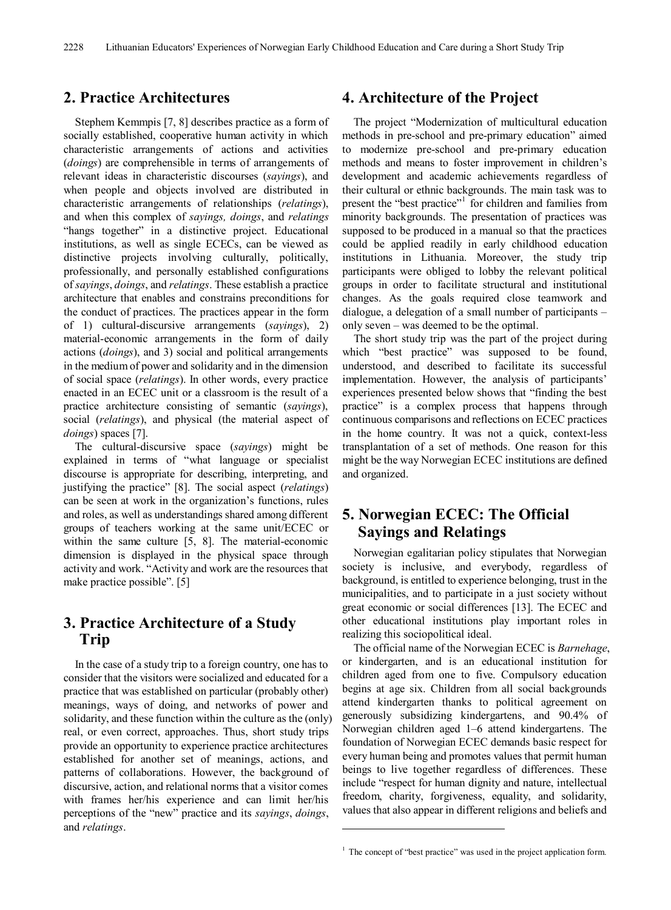## **2. Practice Architectures**

Stephem Kemmpis [7, 8] describes practice as a form of socially established, cooperative human activity in which characteristic arrangements of actions and activities (*doings*) are comprehensible in terms of arrangements of relevant ideas in characteristic discourses (*sayings*), and when people and objects involved are distributed in characteristic arrangements of relationships (*relatings*), and when this complex of *sayings, doings*, and *relatings* "hangs together" in a distinctive project. Educational institutions, as well as single ECECs, can be viewed as distinctive projects involving culturally, politically, professionally, and personally established configurations of *sayings*, *doings*, and *relatings*. These establish a practice architecture that enables and constrains preconditions for the conduct of practices. The practices appear in the form of 1) cultural-discursive arrangements (*sayings*), 2) material-economic arrangements in the form of daily actions (*doings*), and 3) social and political arrangements in the mediumof power and solidarity and in the dimension of social space (*relatings*). In other words, every practice enacted in an ECEC unit or a classroom is the result of a practice architecture consisting of semantic (*sayings*), social (*relatings*), and physical (the material aspect of *doings*) spaces [7].

The cultural-discursive space (*sayings*) might be explained in terms of "what language or specialist discourse is appropriate for describing, interpreting, and justifying the practice" [8]. The social aspect (*relatings*) can be seen at work in the organization's functions, rules and roles, as well as understandings shared among different groups of teachers working at the same unit/ECEC or within the same culture [5, 8]. The material-economic dimension is displayed in the physical space through activity and work. "Activity and work are the resources that make practice possible". [5]

# **3. Practice Architecture of a Study Trip**

<span id="page-1-0"></span>In the case of a study trip to a foreign country, one has to consider that the visitors were socialized and educated for a practice that was established on particular (probably other) meanings, ways of doing, and networks of power and solidarity, and these function within the culture as the (only) real, or even correct, approaches. Thus, short study trips provide an opportunity to experience practice architectures established for another set of meanings, actions, and patterns of collaborations. However, the background of discursive, action, and relational norms that a visitor comes with frames her/his experience and can limit her/his perceptions of the "new" practice and its *sayings*, *doings*, and *relatings*.

## **4. Architecture of the Project**

The project "Modernization of multicultural education methods in pre-school and pre-primary education" aimed to modernize pre-school and pre-primary education methods and means to foster improvement in children's development and academic achievements regardless of their cultural or ethnic backgrounds. The main task was to present the "best practice"<sup>[1](#page-1-0)</sup> for children and families from minority backgrounds. The presentation of practices was supposed to be produced in a manual so that the practices could be applied readily in early childhood education institutions in Lithuania. Moreover, the study trip participants were obliged to lobby the relevant political groups in order to facilitate structural and institutional changes. As the goals required close teamwork and dialogue, a delegation of a small number of participants – only seven – was deemed to be the optimal.

The short study trip was the part of the project during which "best practice" was supposed to be found, understood, and described to facilitate its successful implementation. However, the analysis of participants' experiences presented below shows that "finding the best practice" is a complex process that happens through continuous comparisons and reflections on ECEC practices in the home country. It was not a quick, context-less transplantation of a set of methods. One reason for this might be the way Norwegian ECEC institutions are defined and organized.

# **5. Norwegian ECEC: The Official Sayings and Relatings**

Norwegian egalitarian policy stipulates that Norwegian society is inclusive, and everybody, regardless of background, is entitled to experience belonging, trust in the municipalities, and to participate in a just society without great economic or social differences [13]. The ECEC and other educational institutions play important roles in realizing this sociopolitical ideal.

The official name of the Norwegian ECEC is *Barnehage*, or kindergarten, and is an educational institution for children aged from one to five. Compulsory education begins at age six. Children from all social backgrounds attend kindergarten thanks to political agreement on generously subsidizing kindergartens, and 90.4% of Norwegian children aged 1–6 attend kindergartens. The foundation of Norwegian ECEC demands basic respect for every human being and promotes values that permit human beings to live together regardless of differences. These include "respect for human dignity and nature, intellectual freedom, charity, forgiveness, equality, and solidarity, values that also appear in different religions and beliefs and

-

<sup>&</sup>lt;sup>1</sup> The concept of "best practice" was used in the project application form.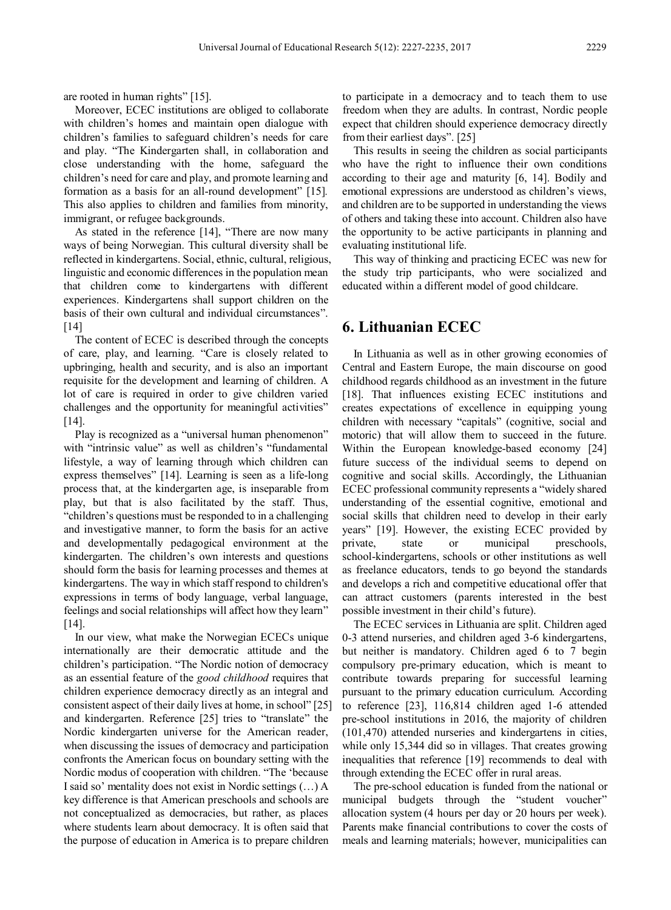are rooted in human rights" [15].

Moreover, ECEC institutions are obliged to collaborate with children's homes and maintain open dialogue with children's families to safeguard children's needs for care and play. "The Kindergarten shall, in collaboration and close understanding with the home, safeguard the children's need for care and play, and promote learning and formation as a basis for an all-round development" [15]*.* This also applies to children and families from minority, immigrant, or refugee backgrounds.

As stated in the reference [14], "There are now many ways of being Norwegian. This cultural diversity shall be reflected in kindergartens. Social, ethnic, cultural, religious, linguistic and economic differences in the population mean that children come to kindergartens with different experiences. Kindergartens shall support children on the basis of their own cultural and individual circumstances". [14]

The content of ECEC is described through the concepts of care, play, and learning. "Care is closely related to upbringing, health and security, and is also an important requisite for the development and learning of children. A lot of care is required in order to give children varied challenges and the opportunity for meaningful activities" [14].

Play is recognized as a "universal human phenomenon" with "intrinsic value" as well as children's "fundamental lifestyle, a way of learning through which children can express themselves" [14]. Learning is seen as a life-long process that, at the kindergarten age, is inseparable from play, but that is also facilitated by the staff. Thus, "children's questions must be responded to in a challenging and investigative manner, to form the basis for an active and developmentally pedagogical environment at the kindergarten. The children's own interests and questions should form the basis for learning processes and themes at kindergartens. The way in which staff respond to children's expressions in terms of body language, verbal language, feelings and social relationships will affect how they learn"  $[14]$ .

In our view, what make the Norwegian ECECs unique internationally are their democratic attitude and the children's participation. "The Nordic notion of democracy as an essential feature of the *good childhood* requires that children experience democracy directly as an integral and consistent aspect of their daily lives at home, in school" [25] and kindergarten. Reference [25] tries to "translate" the Nordic kindergarten universe for the American reader, when discussing the issues of democracy and participation confronts the American focus on boundary setting with the Nordic modus of cooperation with children. "The 'because I said so' mentality does not exist in Nordic settings (…) A key difference is that American preschools and schools are not conceptualized as democracies, but rather, as places where students learn about democracy. It is often said that the purpose of education in America is to prepare children

to participate in a democracy and to teach them to use freedom when they are adults. In contrast, Nordic people expect that children should experience democracy directly from their earliest days". [25]

This results in seeing the children as social participants who have the right to influence their own conditions according to their age and maturity [6, 14]. Bodily and emotional expressions are understood as children's views, and children are to be supported in understanding the views of others and taking these into account. Children also have the opportunity to be active participants in planning and evaluating institutional life.

This way of thinking and practicing ECEC was new for the study trip participants, who were socialized and educated within a different model of good childcare.

## **6. Lithuanian ECEC**

In Lithuania as well as in other growing economies of Central and Eastern Europe, the main discourse on good childhood regards childhood as an investment in the future [18]. That influences existing ECEC institutions and creates expectations of excellence in equipping young children with necessary "capitals" (cognitive, social and motoric) that will allow them to succeed in the future. Within the European knowledge-based economy [24] future success of the individual seems to depend on cognitive and social skills. Accordingly, the Lithuanian ECEC professional community represents a "widely shared understanding of the essential cognitive, emotional and social skills that children need to develop in their early years" [19]. However, the existing ECEC provided by private, state or municipal preschools, school-kindergartens, schools or other institutions as well as freelance educators, tends to go beyond the standards and develops a rich and competitive educational offer that can attract customers (parents interested in the best possible investment in their child's future).

The ECEC services in Lithuania are split. Children aged 0-3 attend nurseries, and children aged 3-6 kindergartens, but neither is mandatory. Children aged 6 to 7 begin compulsory pre-primary education, which is meant to contribute towards preparing for successful learning pursuant to the primary education curriculum. According to reference [23], 116,814 children aged 1-6 attended pre-school institutions in 2016, the majority of children (101,470) attended nurseries and kindergartens in cities, while only 15,344 did so in villages. That creates growing inequalities that reference [19] recommends to deal with through extending the ECEC offer in rural areas.

The pre-school education is funded from the national or municipal budgets through the "student voucher" allocation system (4 hours per day or 20 hours per week). Parents make financial contributions to cover the costs of meals and learning materials; however, municipalities can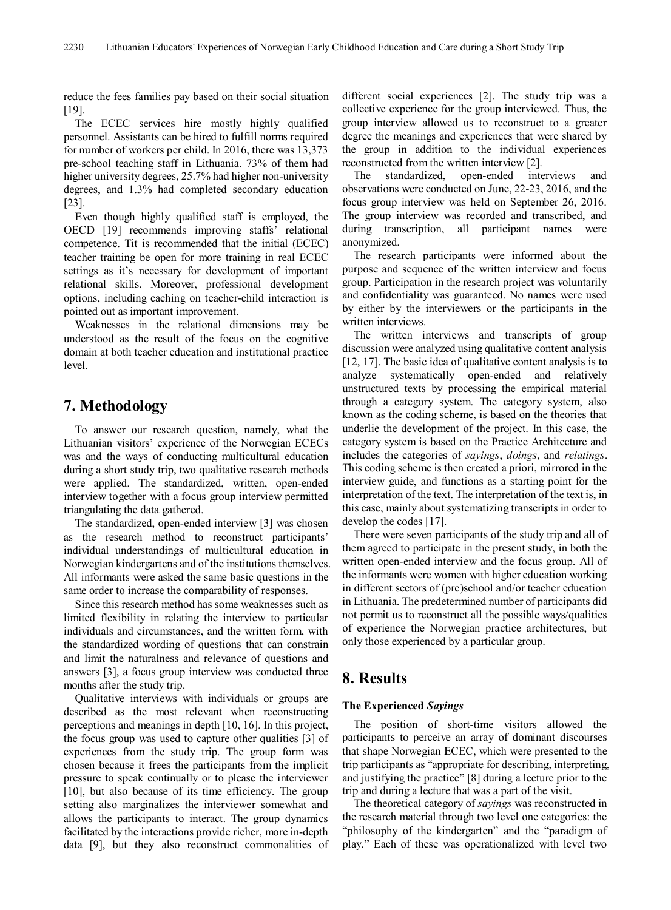reduce the fees families pay based on their social situation [19].

The ECEC services hire mostly highly qualified personnel. Assistants can be hired to fulfill norms required for number of workers per child. In 2016, there was 13,373 pre-school teaching staff in Lithuania. 73% of them had higher university degrees, 25.7% had higher non-university degrees, and 1.3% had completed secondary education [23].

Even though highly qualified staff is employed, the OECD [19] recommends improving staffs' relational competence. Tit is recommended that the initial (ECEC) teacher training be open for more training in real ECEC settings as it's necessary for development of important relational skills. Moreover, professional development options, including caching on teacher-child interaction is pointed out as important improvement.

Weaknesses in the relational dimensions may be understood as the result of the focus on the cognitive domain at both teacher education and institutional practice level.

## **7. Methodology**

To answer our research question, namely, what the Lithuanian visitors' experience of the Norwegian ECECs was and the ways of conducting multicultural education during a short study trip, two qualitative research methods were applied. The standardized, written, open-ended interview together with a focus group interview permitted triangulating the data gathered.

The standardized, open-ended interview [3] was chosen as the research method to reconstruct participants' individual understandings of multicultural education in Norwegian kindergartens and of the institutions themselves. All informants were asked the same basic questions in the same order to increase the comparability of responses.

Since this research method has some weaknesses such as limited flexibility in relating the interview to particular individuals and circumstances, and the written form, with the standardized wording of questions that can constrain and limit the naturalness and relevance of questions and answers [3], a focus group interview was conducted three months after the study trip.

Qualitative interviews with individuals or groups are described as the most relevant when reconstructing perceptions and meanings in depth [10, 16]. In this project, the focus group was used to capture other qualities [3] of experiences from the study trip. The group form was chosen because it frees the participants from the implicit pressure to speak continually or to please the interviewer [10], but also because of its time efficiency. The group setting also marginalizes the interviewer somewhat and allows the participants to interact. The group dynamics facilitated by the interactions provide richer, more in-depth data [9], but they also reconstruct commonalities of

different social experiences [2]. The study trip was a collective experience for the group interviewed. Thus, the group interview allowed us to reconstruct to a greater degree the meanings and experiences that were shared by the group in addition to the individual experiences reconstructed from the written interview [2].

The standardized, open-ended interviews and observations were conducted on June, 22-23, 2016, and the focus group interview was held on September 26, 2016. The group interview was recorded and transcribed, and during transcription, all participant names were anonymized.

The research participants were informed about the purpose and sequence of the written interview and focus group. Participation in the research project was voluntarily and confidentiality was guaranteed. No names were used by either by the interviewers or the participants in the written interviews.

The written interviews and transcripts of group discussion were analyzed using qualitative content analysis [12, 17]. The basic idea of qualitative content analysis is to analyze systematically open-ended and relatively unstructured texts by processing the empirical material through a category system. The category system, also known as the coding scheme, is based on the theories that underlie the development of the project. In this case, the category system is based on the Practice Architecture and includes the categories of *sayings*, *doings*, and *relatings*. This coding scheme is then created a priori, mirrored in the interview guide, and functions as a starting point for the interpretation of the text. The interpretation of the text is, in this case, mainly about systematizing transcripts in order to develop the codes [17].

There were seven participants of the study trip and all of them agreed to participate in the present study, in both the written open-ended interview and the focus group. All of the informants were women with higher education working in different sectors of (pre)school and/or teacher education in Lithuania. The predetermined number of participants did not permit us to reconstruct all the possible ways/qualities of experience the Norwegian practice architectures, but only those experienced by a particular group.

## **8. Results**

#### **The Experienced** *Sayings*

The position of short-time visitors allowed the participants to perceive an array of dominant discourses that shape Norwegian ECEC, which were presented to the trip participants as "appropriate for describing, interpreting, and justifying the practice" [8] during a lecture prior to the trip and during a lecture that was a part of the visit.

The theoretical category of *sayings* was reconstructed in the research material through two level one categories: the "philosophy of the kindergarten" and the "paradigm of play." Each of these was operationalized with level two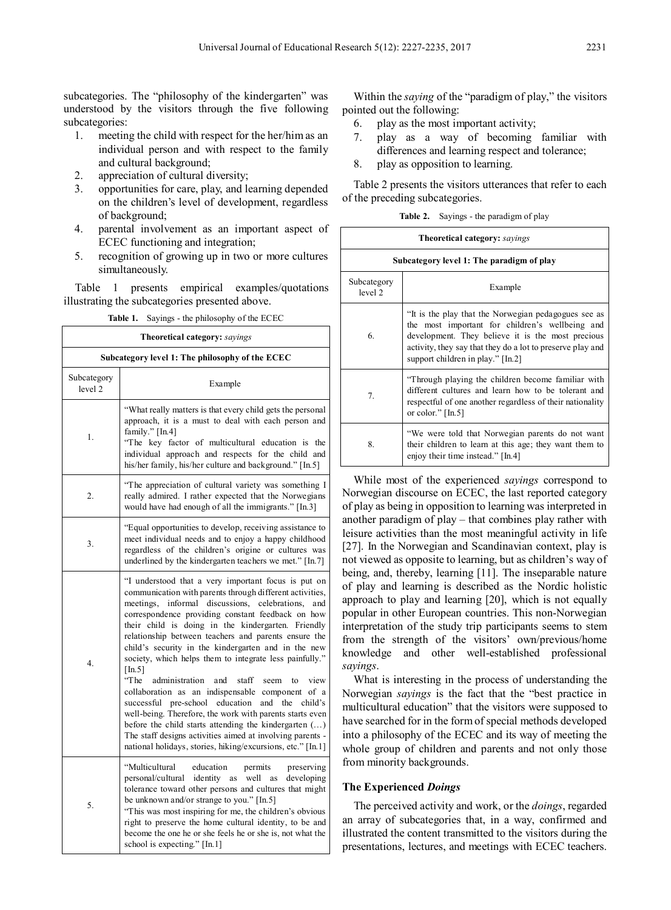subcategories. The "philosophy of the kindergarten" was understood by the visitors through the five following subcategories:

- 1. meeting the child with respect for the her/himas an individual person and with respect to the family and cultural background;
- 2. appreciation of cultural diversity;
- 3. opportunities for care, play, and learning depended on the children's level of development, regardless of background;
- 4. parental involvement as an important aspect of ECEC functioning and integration;
- 5. recognition of growing up in two or more cultures simultaneously.

Table 1 presents empirical examples/quotations illustrating the subcategories presented above.

**Table 1.** Sayings - the philosophy of the ECEC

| <b>Theoretical category:</b> sayings            |                                                                                                                                                                                                                                                                                                                                                                                                                                                                                                                                                                                                                                                                                                                                                                                                                                                                                                      |  |
|-------------------------------------------------|------------------------------------------------------------------------------------------------------------------------------------------------------------------------------------------------------------------------------------------------------------------------------------------------------------------------------------------------------------------------------------------------------------------------------------------------------------------------------------------------------------------------------------------------------------------------------------------------------------------------------------------------------------------------------------------------------------------------------------------------------------------------------------------------------------------------------------------------------------------------------------------------------|--|
| Subcategory level 1: The philosophy of the ECEC |                                                                                                                                                                                                                                                                                                                                                                                                                                                                                                                                                                                                                                                                                                                                                                                                                                                                                                      |  |
| Subcategory<br>level <sub>2</sub>               | Example                                                                                                                                                                                                                                                                                                                                                                                                                                                                                                                                                                                                                                                                                                                                                                                                                                                                                              |  |
| 1.                                              | "What really matters is that every child gets the personal<br>approach, it is a must to deal with each person and<br>family." [In.4]<br>"The key factor of multicultural education is the<br>individual approach and respects for the child and<br>his/her family, his/her culture and background." [In.5]                                                                                                                                                                                                                                                                                                                                                                                                                                                                                                                                                                                           |  |
| 2.                                              | "The appreciation of cultural variety was something I<br>really admired. I rather expected that the Norwegians<br>would have had enough of all the immigrants." [In.3]                                                                                                                                                                                                                                                                                                                                                                                                                                                                                                                                                                                                                                                                                                                               |  |
| 3.                                              | "Equal opportunities to develop, receiving assistance to<br>meet individual needs and to enjoy a happy childhood<br>regardless of the children's origine or cultures was<br>underlined by the kindergarten teachers we met." [In.7]                                                                                                                                                                                                                                                                                                                                                                                                                                                                                                                                                                                                                                                                  |  |
| 4.                                              | "I understood that a very important focus is put on<br>communication with parents through different activities,<br>meetings, informal discussions, celebrations,<br>and<br>correspondence providing constant feedback on how<br>their child is doing in the kindergarten. Friendly<br>relationship between teachers and parents ensure the<br>child's security in the kindergarten and in the new<br>society, which helps them to integrate less painfully."<br>[In.5]<br>"The<br>administration<br>and<br>staff<br>seem<br>view<br>to<br>collaboration as an indispensable<br>component of a<br>successful pre-school education<br>and the child's<br>well-being. Therefore, the work with parents starts even<br>before the child starts attending the kindergarten ()<br>The staff designs activities aimed at involving parents -<br>national holidays, stories, hiking/excursions, etc." [In.1] |  |
| 5.                                              | "Multicultural<br>education<br>permits<br>preserving<br>personal/cultural identity as<br>well<br>developing<br>as<br>tolerance toward other persons and cultures that might<br>be unknown and/or strange to you." [In.5]<br>"This was most inspiring for me, the children's obvious<br>right to preserve the home cultural identity, to be and<br>become the one he or she feels he or she is, not what the<br>school is expecting." [In.1]                                                                                                                                                                                                                                                                                                                                                                                                                                                          |  |

Within the *saying* of the "paradigm of play," the visitors pointed out the following:

- 6. play as the most important activity;
- 7. play as a way of becoming familiar with differences and learning respect and tolerance;
- 8. play as opposition to learning.

Table 2 presents the visitors utterances that refer to each of the preceding subcategories.

**Table 2.** Sayings - the paradigm of play

|                        | <b>Theoretical category:</b> sayings                                                                                                                                                                                                                            |  |
|------------------------|-----------------------------------------------------------------------------------------------------------------------------------------------------------------------------------------------------------------------------------------------------------------|--|
|                        | Subcategory level 1: The paradigm of play                                                                                                                                                                                                                       |  |
| Subcategory<br>level 2 | Example                                                                                                                                                                                                                                                         |  |
| 6.                     | "It is the play that the Norwegian pedagogues see as<br>the most important for children's wellbeing and<br>development. They believe it is the most precious<br>activity, they say that they do a lot to preserve play and<br>support children in play." [In.2] |  |
| 7 <sub>1</sub>         | "Through playing the children become familiar with<br>different cultures and learn how to be tolerant and<br>respectful of one another regardless of their nationality<br>or color." $[In.5]$                                                                   |  |
| 8.                     | "We were told that Norwegian parents do not want<br>their children to learn at this age; they want them to<br>enjoy their time instead." [In.4]                                                                                                                 |  |

While most of the experienced *sayings* correspond to Norwegian discourse on ECEC, the last reported category of play as being in opposition to learning was interpreted in another paradigm of play – that combines play rather with leisure activities than the most meaningful activity in life [27]. In the Norwegian and Scandinavian context, play is not viewed as opposite to learning, but as children's way of being, and, thereby, learning [11]. The inseparable nature of play and learning is described as the Nordic holistic approach to play and learning [20], which is not equally popular in other European countries. This non-Norwegian interpretation of the study trip participants seems to stem from the strength of the visitors' own/previous/home knowledge and other well-established professional *sayings*.

What is interesting in the process of understanding the Norwegian *sayings* is the fact that the "best practice in multicultural education" that the visitors were supposed to have searched for in the formof special methods developed into a philosophy of the ECEC and its way of meeting the whole group of children and parents and not only those from minority backgrounds.

#### **The Experienced** *Doings*

The perceived activity and work, or the *doings*, regarded an array of subcategories that, in a way, confirmed and illustrated the content transmitted to the visitors during the presentations, lectures, and meetings with ECEC teachers.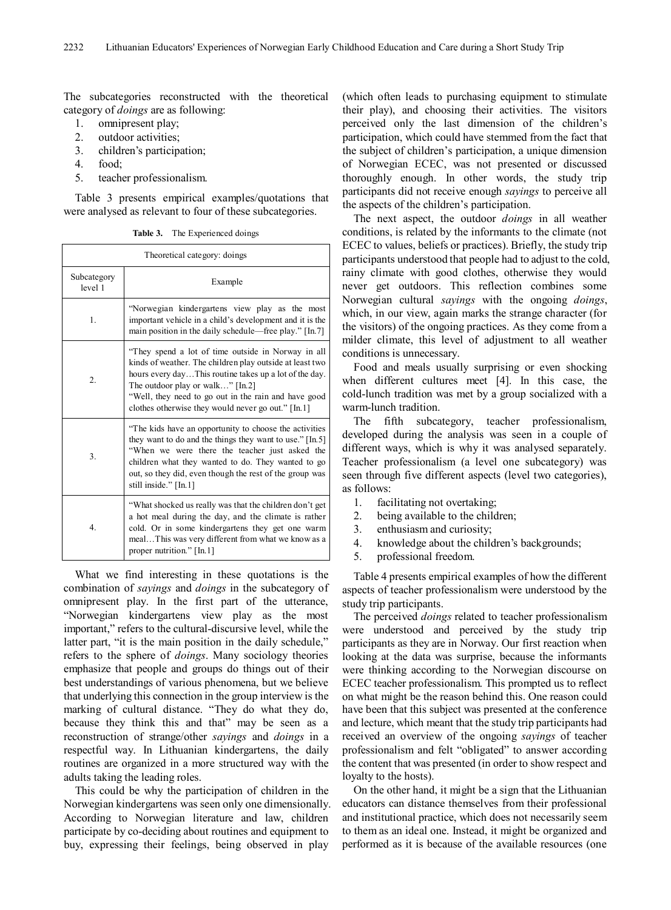The subcategories reconstructed with the theoretical category of *doings* are as following:

- 1. omnipresent play;
- 2. outdoor activities;
- 3. children's participation;
- 4. food;
- 5. teacher professionalism.

Table 3 presents empirical examples/quotations that were analysed as relevant to four of these subcategories.

**Table 3.** The Experienced doings

| Theoretical category: doings |                                                                                                                                                                                                                                                                                                                            |
|------------------------------|----------------------------------------------------------------------------------------------------------------------------------------------------------------------------------------------------------------------------------------------------------------------------------------------------------------------------|
| Subcategory<br>level 1       | Example                                                                                                                                                                                                                                                                                                                    |
| 1.                           | "Norwegian kindergartens view play as the most<br>important vehicle in a child's development and it is the<br>main position in the daily schedule—free play." [In.7]                                                                                                                                                       |
| 2.                           | "They spend a lot of time outside in Norway in all<br>kinds of weather. The children play outside at least two<br>hours every dayThis routine takes up a lot of the day.<br>The outdoor play or walk" [In.2]<br>"Well, they need to go out in the rain and have good<br>clothes otherwise they would never go out." [In.1] |
| 3.                           | "The kids have an opportunity to choose the activities"<br>they want to do and the things they want to use." [In.5]<br>"When we were there the teacher just asked the<br>children what they wanted to do. They wanted to go<br>out, so they did, even though the rest of the group was<br>still inside." [In.1]            |
| 4.                           | "What shocked us really was that the children don't get<br>a hot meal during the day, and the climate is rather<br>cold. Or in some kindergartens they get one warm<br>mealThis was very different from what we know as a<br>proper nutrition." [In.1]                                                                     |

What we find interesting in these quotations is the combination of *sayings* and *doings* in the subcategory of omnipresent play. In the first part of the utterance, "Norwegian kindergartens view play as the most important," refers to the cultural-discursive level, while the latter part, "it is the main position in the daily schedule," refers to the sphere of *doings*. Many sociology theories emphasize that people and groups do things out of their best understandings of various phenomena, but we believe that underlying this connection in the group interview is the marking of cultural distance. "They do what they do, because they think this and that" may be seen as a reconstruction of strange/other *sayings* and *doings* in a respectful way. In Lithuanian kindergartens, the daily routines are organized in a more structured way with the adults taking the leading roles.

This could be why the participation of children in the Norwegian kindergartens was seen only one dimensionally. According to Norwegian literature and law, children participate by co-deciding about routines and equipment to buy, expressing their feelings, being observed in play

(which often leads to purchasing equipment to stimulate their play), and choosing their activities. The visitors perceived only the last dimension of the children's participation, which could have stemmed from the fact that the subject of children's participation, a unique dimension of Norwegian ECEC, was not presented or discussed thoroughly enough. In other words, the study trip participants did not receive enough *sayings* to perceive all the aspects of the children's participation.

The next aspect, the outdoor *doings* in all weather conditions, is related by the informants to the climate (not ECEC to values, beliefs or practices). Briefly, the study trip participants understood that people had to adjust to the cold, rainy climate with good clothes, otherwise they would never get outdoors. This reflection combines some Norwegian cultural *sayings* with the ongoing *doings*, which, in our view, again marks the strange character (for the visitors) of the ongoing practices. As they come from a milder climate, this level of adjustment to all weather conditions is unnecessary.

Food and meals usually surprising or even shocking when different cultures meet [4]. In this case, the cold-lunch tradition was met by a group socialized with a warm-lunch tradition.

The fifth subcategory, teacher professionalism, developed during the analysis was seen in a couple of different ways, which is why it was analysed separately. Teacher professionalism (a level one subcategory) was seen through five different aspects (level two categories), as follows:

- 1. facilitating not overtaking;
- 2. being available to the children;
- 3. enthusiasm and curiosity;
- 4. knowledge about the children's backgrounds;
- 5. professional freedom.

Table 4 presents empirical examples of how the different aspects of teacher professionalism were understood by the study trip participants.

The perceived *doings* related to teacher professionalism were understood and perceived by the study trip participants as they are in Norway. Our first reaction when looking at the data was surprise, because the informants were thinking according to the Norwegian discourse on ECEC teacher professionalism. This prompted us to reflect on what might be the reason behind this. One reason could have been that this subject was presented at the conference and lecture, which meant that the study trip participants had received an overview of the ongoing *sayings* of teacher professionalism and felt "obligated" to answer according the content that was presented (in order to show respect and loyalty to the hosts).

On the other hand, it might be a sign that the Lithuanian educators can distance themselves from their professional and institutional practice, which does not necessarily seem to them as an ideal one. Instead, it might be organized and performed as it is because of the available resources (one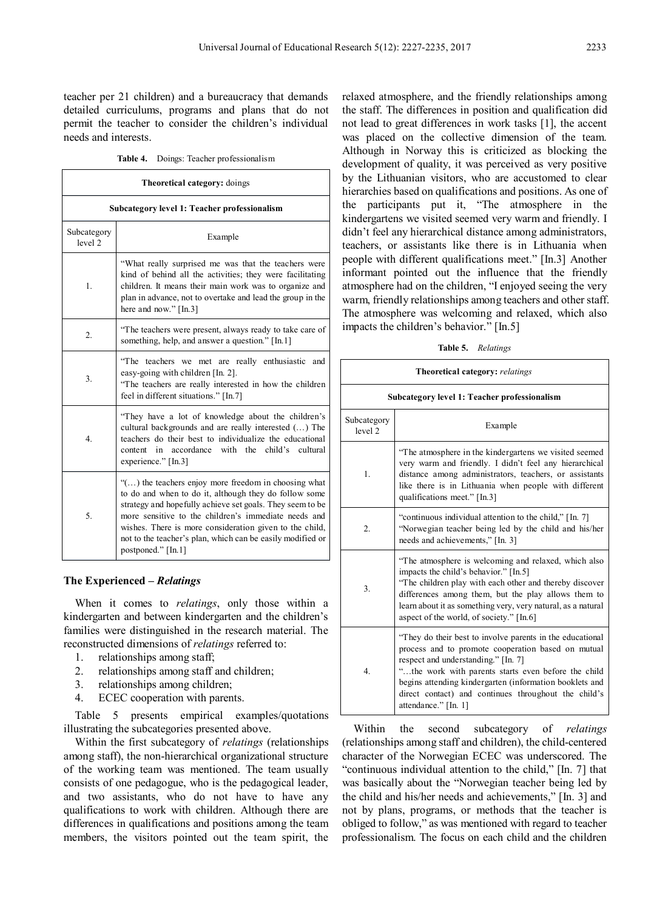teacher per 21 children) and a bureaucracy that demands detailed curriculums, programs and plans that do not permit the teacher to consider the children's individual needs and interests.

**Table 4.** Doings: Teacher professionalism

| Theoretical category: doings                 |                                                                                                                                                                                                                                                                                                                                                                                   |  |
|----------------------------------------------|-----------------------------------------------------------------------------------------------------------------------------------------------------------------------------------------------------------------------------------------------------------------------------------------------------------------------------------------------------------------------------------|--|
| Subcategory level 1: Teacher professionalism |                                                                                                                                                                                                                                                                                                                                                                                   |  |
| Subcategory<br>level 2                       | Example                                                                                                                                                                                                                                                                                                                                                                           |  |
| $\mathbf{1}$ .                               | "What really surprised me was that the teachers were<br>kind of behind all the activities; they were facilitating<br>children. It means their main work was to organize and<br>plan in advance, not to overtake and lead the group in the<br>here and now." [In.3]                                                                                                                |  |
| 2.                                           | "The teachers were present, always ready to take care of<br>something, help, and answer a question." [In.1]                                                                                                                                                                                                                                                                       |  |
| 3.                                           | "The teachers we met are really enthusiastic<br>and<br>easy-going with children [In. 2].<br>"The teachers are really interested in how the children<br>feel in different situations." [In.7]                                                                                                                                                                                      |  |
| 4.                                           | "They have a lot of knowledge about the children's<br>cultural backgrounds and are really interested () The<br>teachers do their best to individualize the educational<br>accordance with the<br>child's cultural<br>content<br>in<br>experience." [In.3]                                                                                                                         |  |
| 5.                                           | "() the teachers enjoy more freedom in choosing what<br>to do and when to do it, although they do follow some<br>strategy and hopefully achieve set goals. They seem to be<br>more sensitive to the children's immediate needs and<br>wishes. There is more consideration given to the child,<br>not to the teacher's plan, which can be easily modified or<br>postponed." [In.1] |  |

#### **The Experienced –** *Relatings*

When it comes to *relatings*, only those within a kindergarten and between kindergarten and the children's families were distinguished in the research material. The reconstructed dimensions of *relatings* referred to:

- 1. relationships among staff;
- 2. relationships among staff and children;
- 3. relationships among children;
- 4. ECEC cooperation with parents.

Table 5 presents empirical examples/quotations illustrating the subcategories presented above.

Within the first subcategory of *relatings* (relationships among staff), the non-hierarchical organizational structure of the working team was mentioned. The team usually consists of one pedagogue, who is the pedagogical leader, and two assistants, who do not have to have any qualifications to work with children. Although there are differences in qualifications and positions among the team members, the visitors pointed out the team spirit, the

relaxed atmosphere, and the friendly relationships among the staff. The differences in position and qualification did not lead to great differences in work tasks [1], the accent was placed on the collective dimension of the team. Although in Norway this is criticized as blocking the development of quality, it was perceived as very positive by the Lithuanian visitors, who are accustomed to clear hierarchies based on qualifications and positions. As one of the participants put it, "The atmosphere in the kindergartens we visited seemed very warm and friendly. I didn't feel any hierarchical distance among administrators, teachers, or assistants like there is in Lithuania when people with different qualifications meet." [In.3] Another informant pointed out the influence that the friendly atmosphere had on the children, "I enjoyed seeing the very warm, friendly relationships among teachers and other staff. The atmosphere was welcoming and relaxed, which also impacts the children's behavior." [In.5]

**Table 5.** *Relatings*

| <b>Theoretical category:</b> relatings       |                                                                                                                                                                                                                                                                                                                                                          |  |
|----------------------------------------------|----------------------------------------------------------------------------------------------------------------------------------------------------------------------------------------------------------------------------------------------------------------------------------------------------------------------------------------------------------|--|
| Subcategory level 1: Teacher professionalism |                                                                                                                                                                                                                                                                                                                                                          |  |
| Subcategory<br>level 2                       | Example                                                                                                                                                                                                                                                                                                                                                  |  |
| $\mathbf{1}$ .                               | "The atmosphere in the kindergartens we visited seemed<br>very warm and friendly. I didn't feel any hierarchical<br>distance among administrators, teachers, or assistants<br>like there is in Lithuania when people with different<br>qualifications meet." [In.3]                                                                                      |  |
| $\mathbf{2}$                                 | "continuous individual attention to the child," [In. 7]<br>"Norwegian teacher being led by the child and his/her<br>needs and achievements," [In. 3]                                                                                                                                                                                                     |  |
| 3.                                           | "The atmosphere is welcoming and relaxed, which also<br>impacts the child's behavior." [In.5]<br>"The children play with each other and thereby discover<br>differences among them, but the play allows them to<br>learn about it as something very, very natural, as a natural<br>aspect of the world, of society." [In.6]                              |  |
| 4.                                           | "They do their best to involve parents in the educational<br>process and to promote cooperation based on mutual<br>respect and understanding." [In. 7]<br>"the work with parents starts even before the child<br>begins attending kindergarten (information booklets and<br>direct contact) and continues throughout the child's<br>attendance." [In. 1] |  |

Within the second subcategory of *relatings* (relationships among staff and children), the child-centered character of the Norwegian ECEC was underscored. The "continuous individual attention to the child," [In. 7] that was basically about the "Norwegian teacher being led by the child and his/her needs and achievements," [In. 3] and not by plans, programs, or methods that the teacher is obliged to follow," as was mentioned with regard to teacher professionalism. The focus on each child and the children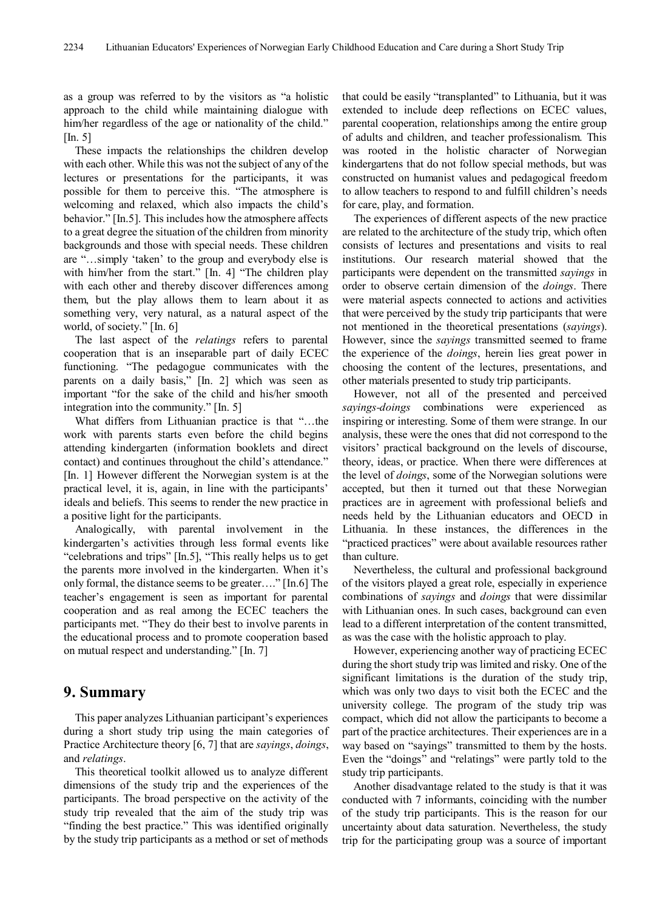as a group was referred to by the visitors as "a holistic approach to the child while maintaining dialogue with him/her regardless of the age or nationality of the child." [In. 5]

These impacts the relationships the children develop with each other. While this was not the subject of any of the lectures or presentations for the participants, it was possible for them to perceive this. "The atmosphere is welcoming and relaxed, which also impacts the child's behavior." [In.5]. This includes how the atmosphere affects to a great degree the situation of the children from minority backgrounds and those with special needs. These children are "…simply 'taken' to the group and everybody else is with him/her from the start." [In. 4] "The children play with each other and thereby discover differences among them, but the play allows them to learn about it as something very, very natural, as a natural aspect of the world, of society." [In. 6]

The last aspect of the *relatings* refers to parental cooperation that is an inseparable part of daily ECEC functioning. "The pedagogue communicates with the parents on a daily basis," [In. 2] which was seen as important "for the sake of the child and his/her smooth integration into the community." [In. 5]

What differs from Lithuanian practice is that "…the work with parents starts even before the child begins attending kindergarten (information booklets and direct contact) and continues throughout the child's attendance." [In. 1] However different the Norwegian system is at the practical level, it is, again, in line with the participants' ideals and beliefs. This seems to render the new practice in a positive light for the participants.

Analogically, with parental involvement in the kindergarten's activities through less formal events like "celebrations and trips" [In.5], "This really helps us to get the parents more involved in the kindergarten. When it's only formal, the distance seems to be greater…." [In.6] The teacher's engagement is seen as important for parental cooperation and as real among the ECEC teachers the participants met. "They do their best to involve parents in the educational process and to promote cooperation based on mutual respect and understanding." [In. 7]

#### **9. Summary**

This paper analyzes Lithuanian participant's experiences during a short study trip using the main categories of Practice Architecture theory [6, 7] that are *sayings*, *doings*, and *relatings*.

This theoretical toolkit allowed us to analyze different dimensions of the study trip and the experiences of the participants. The broad perspective on the activity of the study trip revealed that the aim of the study trip was "finding the best practice." This was identified originally by the study trip participants as a method or set of methods

that could be easily "transplanted" to Lithuania, but it was extended to include deep reflections on ECEC values, parental cooperation, relationships among the entire group of adults and children, and teacher professionalism. This was rooted in the holistic character of Norwegian kindergartens that do not follow special methods, but was constructed on humanist values and pedagogical freedom to allow teachers to respond to and fulfill children's needs for care, play, and formation.

The experiences of different aspects of the new practice are related to the architecture of the study trip, which often consists of lectures and presentations and visits to real institutions. Our research material showed that the participants were dependent on the transmitted *sayings* in order to observe certain dimension of the *doings*. There were material aspects connected to actions and activities that were perceived by the study trip participants that were not mentioned in the theoretical presentations (*sayings*). However, since the *sayings* transmitted seemed to frame the experience of the *doings*, herein lies great power in choosing the content of the lectures, presentations, and other materials presented to study trip participants.

However, not all of the presented and perceived *sayings-doings* combinations were experienced as inspiring or interesting. Some of them were strange. In our analysis, these were the ones that did not correspond to the visitors' practical background on the levels of discourse, theory, ideas, or practice. When there were differences at the level of *doings*, some of the Norwegian solutions were accepted, but then it turned out that these Norwegian practices are in agreement with professional beliefs and needs held by the Lithuanian educators and OECD in Lithuania. In these instances, the differences in the "practiced practices" were about available resources rather than culture.

Nevertheless, the cultural and professional background of the visitors played a great role, especially in experience combinations of *sayings* and *doings* that were dissimilar with Lithuanian ones. In such cases, background can even lead to a different interpretation of the content transmitted, as was the case with the holistic approach to play.

However, experiencing another way of practicing ECEC during the short study trip was limited and risky. One of the significant limitations is the duration of the study trip, which was only two days to visit both the ECEC and the university college. The program of the study trip was compact, which did not allow the participants to become a part of the practice architectures. Their experiences are in a way based on "sayings" transmitted to them by the hosts. Even the "doings" and "relatings" were partly told to the study trip participants.

Another disadvantage related to the study is that it was conducted with 7 informants, coinciding with the number of the study trip participants. This is the reason for our uncertainty about data saturation. Nevertheless, the study trip for the participating group was a source of important